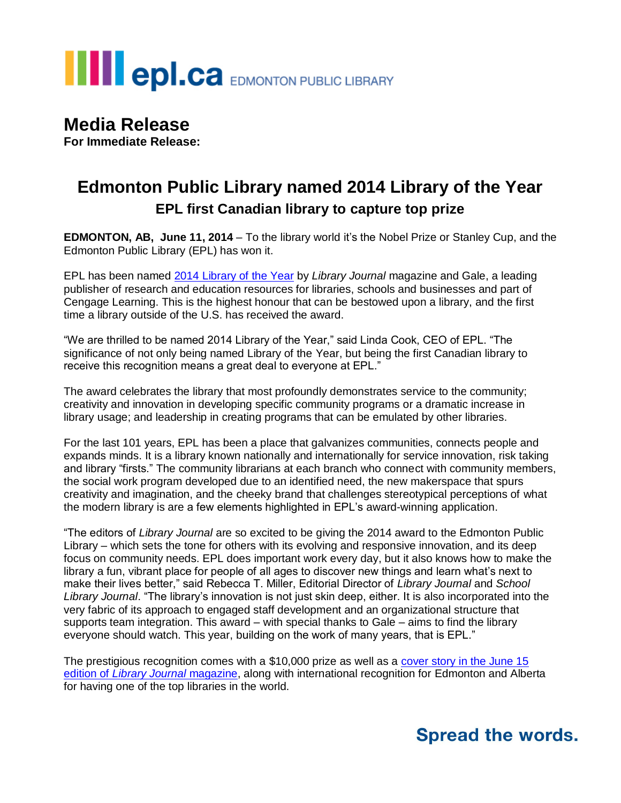# **THE EPI.CA** EDMONTON PUBLIC LIBRARY

### **Media Release**

**For Immediate Release:**

#### **Edmonton Public Library named 2014 Library of the Year EPL first Canadian library to capture top prize**

**EDMONTON, AB, June 11, 2014** – To the library world it's the Nobel Prize or Stanley Cup, and the Edmonton Public Library (EPL) has won it.

EPL has been named [2014 Library of the Year](http://www.epl.ca/libraryoftheyear) by *Library Journal* magazine and Gale, a leading publisher of research and education resources for libraries, schools and businesses and part of Cengage Learning. This is the highest honour that can be bestowed upon a library, and the first time a library outside of the U.S. has received the award.

"We are thrilled to be named 2014 Library of the Year," said Linda Cook, CEO of EPL. "The significance of not only being named Library of the Year, but being the first Canadian library to receive this recognition means a great deal to everyone at EPL."

The award celebrates the library that most profoundly demonstrates service to the community; creativity and innovation in developing specific community programs or a dramatic increase in library usage; and leadership in creating programs that can be emulated by other libraries.

For the last 101 years, EPL has been a place that galvanizes communities, connects people and expands minds. It is a library known nationally and internationally for service innovation, risk taking and library "firsts." The community librarians at each branch who connect with community members, the social work program developed due to an identified need, the new makerspace that spurs creativity and imagination, and the cheeky brand that challenges stereotypical perceptions of what the modern library is are a few elements highlighted in EPL's award-winning application.

"The editors of *Library Journal* are so excited to be giving the 2014 award to the Edmonton Public Library – which sets the tone for others with its evolving and responsive innovation, and its deep focus on community needs. EPL does important work every day, but it also knows how to make the library a fun, vibrant place for people of all ages to discover new things and learn what's next to make their lives better," said Rebecca T. Miller, Editorial Director of *Library Journal* and *School Library Journal*. "The library's innovation is not just skin deep, either. It is also incorporated into the very fabric of its approach to engaged staff development and an organizational structure that supports team integration. This award – with special thanks to Gale – aims to find the library everyone should watch. This year, building on the work of many years, that is EPL."

The prestigious recognition comes with a \$10,000 prize as well as a [cover story in the June 15](http://lj.libraryjournal.com/2014/06/awards/2014-galelj-library-of-the-year-edmonton-public-library-transformed-by-teamwork/)  edition of *[Library Journal](http://lj.libraryjournal.com/2014/06/awards/2014-galelj-library-of-the-year-edmonton-public-library-transformed-by-teamwork/)* magazine, along with international recognition for Edmonton and Alberta for having one of the top libraries in the world.

### **Spread the words.**